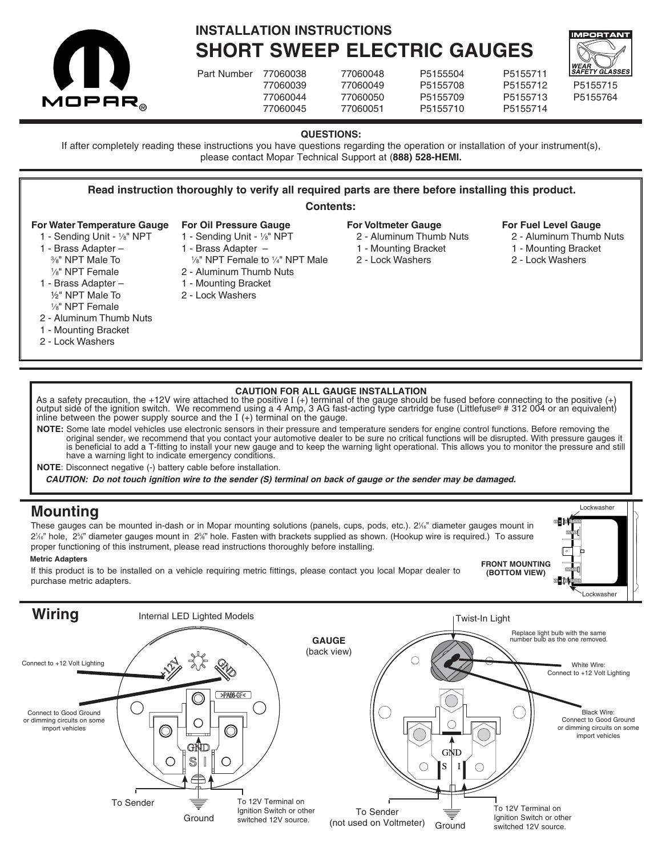



**SHORT SWEEP ELECTRIC GAUGES**

Part Number 77060038 77060048 P5155504 77060039 77060049 P5155708 P5155712 P5155715 77060044 77060050 P5155709 P5155713 P5155764 77060045 77060051 P5155710 P5155714

| .        |
|----------|
| P5155711 |
| P5155712 |
| P5155713 |
| P5155714 |



Lockwasher

**FRONT MOUNTING (BOTTOM VIEW)**

**QUESTIONS:**

If after completely reading these instructions you have questions regarding the operation or installation of your instrument(s), please contact Mopar Technical Support at (**888) 528-HEMI.**

### **Read instruction thoroughly to verify all required parts are there before installing this product. For Water Temperature Gauge** 1 - Sending Unit - 1∕8" NPT 1 - Brass Adapter – 3 ⁄8" NPT Male To 1 ⁄8" NPT Female 1 - Brass Adapter – ½" NPT Male To 1 ⁄8" NPT Female 2 - Aluminum Thumb Nuts 1 - Mounting Bracket 2 - Lock Washers **Contents: For Oil Pressure Gauge** 1 - Sending Unit - 1/8" NPT 1 - Brass Adapter – 1 ⁄8" NPT Female to <sup>1</sup> ⁄4" NPT Male 2 - Aluminum Thumb Nuts 1 - Mounting Bracket 2 - Lock Washers **For Voltmeter Gauge** 2 - Aluminum Thumb Nuts 1 - Mounting Bracket 2 - Lock Washers **For Fuel Level Gauge** 2 - Aluminum Thumb Nuts 1 - Mounting Bracket 2 - Lock Washers

## **CAUTION FOR ALL GAUGE INSTALLATION**

As a safety precaution, the +12V wire attached to the positive  $I$  (+) terminal of the gauge should be fused before connecting to the positive (+) output side of the ignition switch. We recommend using a 4 Amp, 3 AG fast-acting type cartridge fuse (Littlefuse® # 312 004 or an equivalent) inline between the power supply source and the  $I$  (+) terminal on the gauge.

**NOTE:** Some late model vehicles use electronic sensors in their pressure and temperature senders for engine control functions. Before removing the original sender, we recommend that you contact your automotive dealer to be sure no critical functions will be disrupted. With pressure gauges it is beneficial to add a T-fitting to install your new gauge and to keep the warning light operational. This allows you to monitor the pressure and still have a warning light to indicate emergency conditions.

**NOTE**: Disconnect negative (-) battery cable before installation.

*CAUTION: Do not touch ignition wire to the sender (S) terminal on back of gauge or the sender may be damaged.*

## **Mounting**

These gauges can be mounted in-dash or in Mopar mounting solutions (panels, cups, pods, etc.). 2¼" diameter gauges mount in 2¼" hole, 2%" diameter gauges mount in 2%" hole. Fasten with brackets supplied as shown. (Hookup wire is required.) To assure proper functioning of this instrument, please read instructions thoroughly before installing.

## **Metric Adapters**

If this product is to be installed on a vehicle requiring metric fittings, please contact you local Mopar dealer to purchase metric adapters.